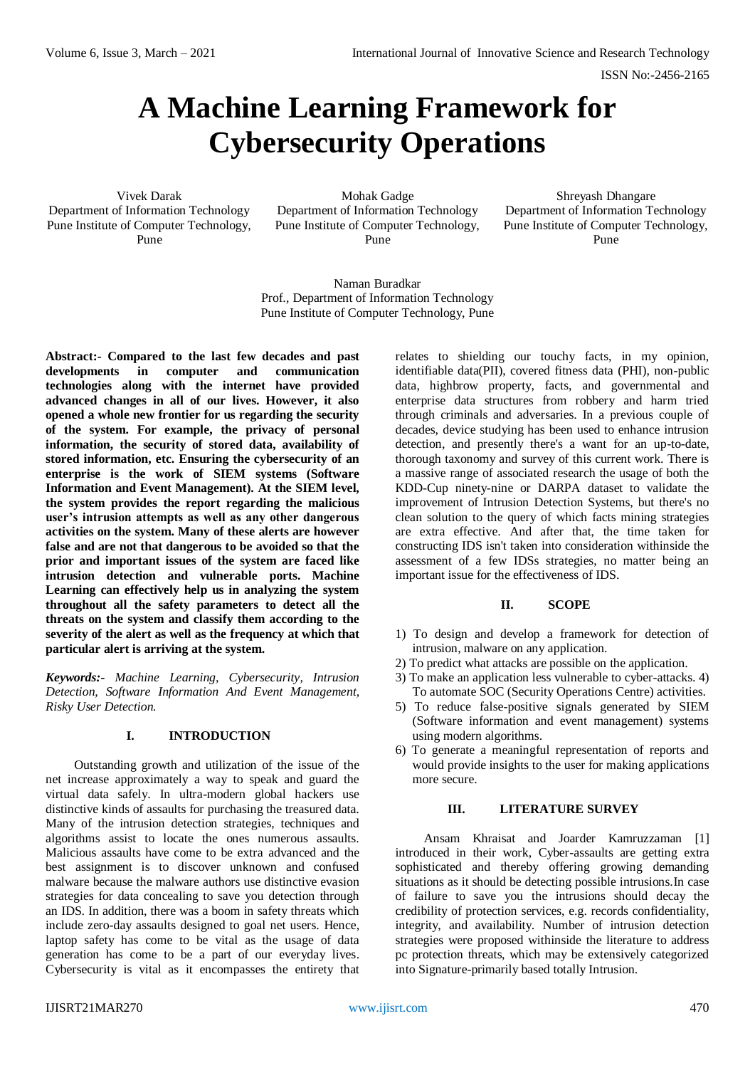ISSN No:-2456-2165

# **A Machine Learning Framework for Cybersecurity Operations**

Vivek Darak Department of Information Technology Pune Institute of Computer Technology, Pune

Mohak Gadge Department of Information Technology Pune Institute of Computer Technology, Pune

Shreyash Dhangare Department of Information Technology Pune Institute of Computer Technology, Pune

Naman Buradkar Prof., Department of Information Technology Pune Institute of Computer Technology, Pune

**Abstract:- Compared to the last few decades and past developments in computer and communication technologies along with the internet have provided advanced changes in all of our lives. However, it also opened a whole new frontier for us regarding the security of the system. For example, the privacy of personal information, the security of stored data, availability of stored information, etc. Ensuring the cybersecurity of an enterprise is the work of SIEM systems (Software Information and Event Management). At the SIEM level, the system provides the report regarding the malicious user's intrusion attempts as well as any other dangerous activities on the system. Many of these alerts are however false and are not that dangerous to be avoided so that the prior and important issues of the system are faced like intrusion detection and vulnerable ports. Machine Learning can effectively help us in analyzing the system throughout all the safety parameters to detect all the threats on the system and classify them according to the severity of the alert as well as the frequency at which that particular alert is arriving at the system.** 

*Keywords:- Machine Learning, Cybersecurity, Intrusion Detection, Software Information And Event Management, Risky User Detection.* 

# **I. INTRODUCTION**

Outstanding growth and utilization of the issue of the net increase approximately a way to speak and guard the virtual data safely. In ultra-modern global hackers use distinctive kinds of assaults for purchasing the treasured data. Many of the intrusion detection strategies, techniques and algorithms assist to locate the ones numerous assaults. Malicious assaults have come to be extra advanced and the best assignment is to discover unknown and confused malware because the malware authors use distinctive evasion strategies for data concealing to save you detection through an IDS. In addition, there was a boom in safety threats which include zero-day assaults designed to goal net users. Hence, laptop safety has come to be vital as the usage of data generation has come to be a part of our everyday lives. Cybersecurity is vital as it encompasses the entirety that relates to shielding our touchy facts, in my opinion, identifiable data(PII), covered fitness data (PHI), non-public data, highbrow property, facts, and governmental and enterprise data structures from robbery and harm tried through criminals and adversaries. In a previous couple of decades, device studying has been used to enhance intrusion detection, and presently there's a want for an up-to-date, thorough taxonomy and survey of this current work. There is a massive range of associated research the usage of both the KDD-Cup ninety-nine or DARPA dataset to validate the improvement of Intrusion Detection Systems, but there's no clean solution to the query of which facts mining strategies are extra effective. And after that, the time taken for constructing IDS isn't taken into consideration withinside the assessment of a few IDSs strategies, no matter being an important issue for the effectiveness of IDS.

# **II. SCOPE**

- 1) To design and develop a framework for detection of intrusion, malware on any application.
- 2) To predict what attacks are possible on the application.
- 3) To make an application less vulnerable to cyber-attacks. 4) To automate SOC (Security Operations Centre) activities.
- 5) To reduce false-positive signals generated by SIEM (Software information and event management) systems using modern algorithms.
- 6) To generate a meaningful representation of reports and would provide insights to the user for making applications more secure.

#### **III. LITERATURE SURVEY**

Ansam Khraisat and Joarder Kamruzzaman [1] introduced in their work, Cyber-assaults are getting extra sophisticated and thereby offering growing demanding situations as it should be detecting possible intrusions.In case of failure to save you the intrusions should decay the credibility of protection services, e.g. records confidentiality, integrity, and availability. Number of intrusion detection strategies were proposed withinside the literature to address pc protection threats, which may be extensively categorized into Signature-primarily based totally Intrusion.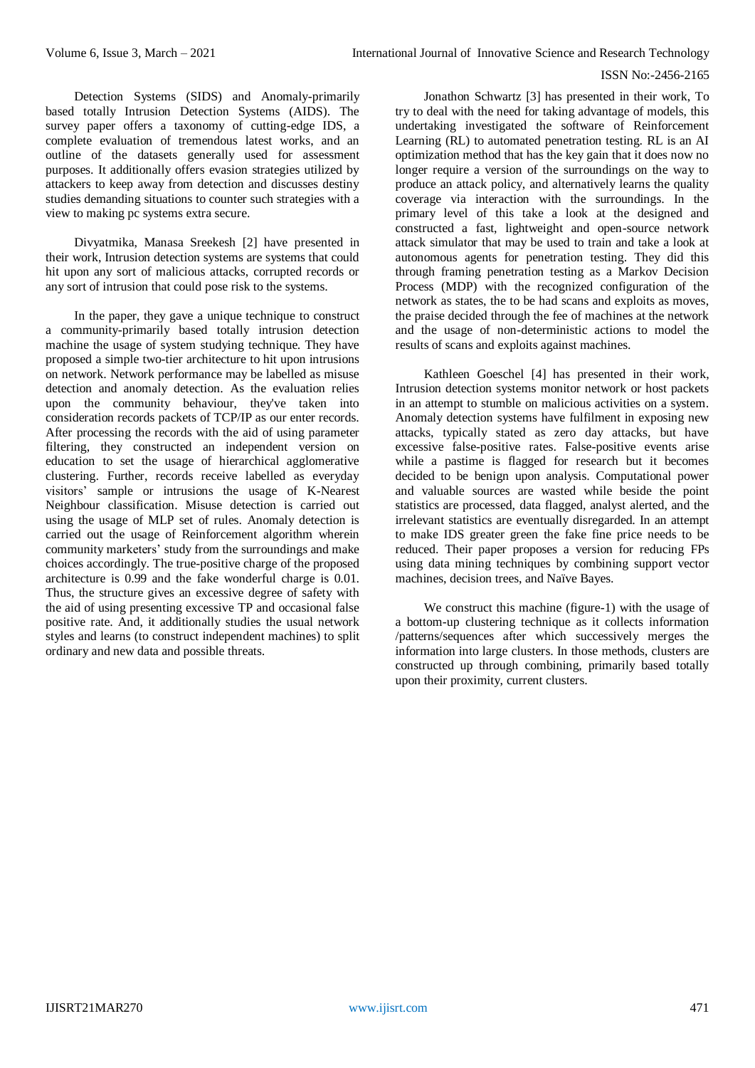#### ISSN No:-2456-2165

Detection Systems (SIDS) and Anomaly-primarily based totally Intrusion Detection Systems (AIDS). The survey paper offers a taxonomy of cutting-edge IDS, a complete evaluation of tremendous latest works, and an outline of the datasets generally used for assessment purposes. It additionally offers evasion strategies utilized by attackers to keep away from detection and discusses destiny studies demanding situations to counter such strategies with a view to making pc systems extra secure.

Divyatmika, Manasa Sreekesh [2] have presented in their work, Intrusion detection systems are systems that could hit upon any sort of malicious attacks, corrupted records or any sort of intrusion that could pose risk to the systems.

In the paper, they gave a unique technique to construct a community-primarily based totally intrusion detection machine the usage of system studying technique. They have proposed a simple two-tier architecture to hit upon intrusions on network. Network performance may be labelled as misuse detection and anomaly detection. As the evaluation relies upon the community behaviour, they've taken into consideration records packets of TCP/IP as our enter records. After processing the records with the aid of using parameter filtering, they constructed an independent version on education to set the usage of hierarchical agglomerative clustering. Further, records receive labelled as everyday visitors' sample or intrusions the usage of K-Nearest Neighbour classification. Misuse detection is carried out using the usage of MLP set of rules. Anomaly detection is carried out the usage of Reinforcement algorithm wherein community marketers' study from the surroundings and make choices accordingly. The true-positive charge of the proposed architecture is 0.99 and the fake wonderful charge is 0.01. Thus, the structure gives an excessive degree of safety with the aid of using presenting excessive TP and occasional false positive rate. And, it additionally studies the usual network styles and learns (to construct independent machines) to split ordinary and new data and possible threats.

Jonathon Schwartz [3] has presented in their work, To try to deal with the need for taking advantage of models, this undertaking investigated the software of Reinforcement Learning (RL) to automated penetration testing. RL is an AI optimization method that has the key gain that it does now no longer require a version of the surroundings on the way to produce an attack policy, and alternatively learns the quality coverage via interaction with the surroundings. In the primary level of this take a look at the designed and constructed a fast, lightweight and open-source network attack simulator that may be used to train and take a look at autonomous agents for penetration testing. They did this through framing penetration testing as a Markov Decision Process (MDP) with the recognized configuration of the network as states, the to be had scans and exploits as moves, the praise decided through the fee of machines at the network and the usage of non-deterministic actions to model the results of scans and exploits against machines.

Kathleen Goeschel [4] has presented in their work, Intrusion detection systems monitor network or host packets in an attempt to stumble on malicious activities on a system. Anomaly detection systems have fulfilment in exposing new attacks, typically stated as zero day attacks, but have excessive false-positive rates. False-positive events arise while a pastime is flagged for research but it becomes decided to be benign upon analysis. Computational power and valuable sources are wasted while beside the point statistics are processed, data flagged, analyst alerted, and the irrelevant statistics are eventually disregarded. In an attempt to make IDS greater green the fake fine price needs to be reduced. Their paper proposes a version for reducing FPs using data mining techniques by combining support vector machines, decision trees, and Naïve Bayes.

We construct this machine (figure-1) with the usage of a bottom-up clustering technique as it collects information /patterns/sequences after which successively merges the information into large clusters. In those methods, clusters are constructed up through combining, primarily based totally upon their proximity, current clusters.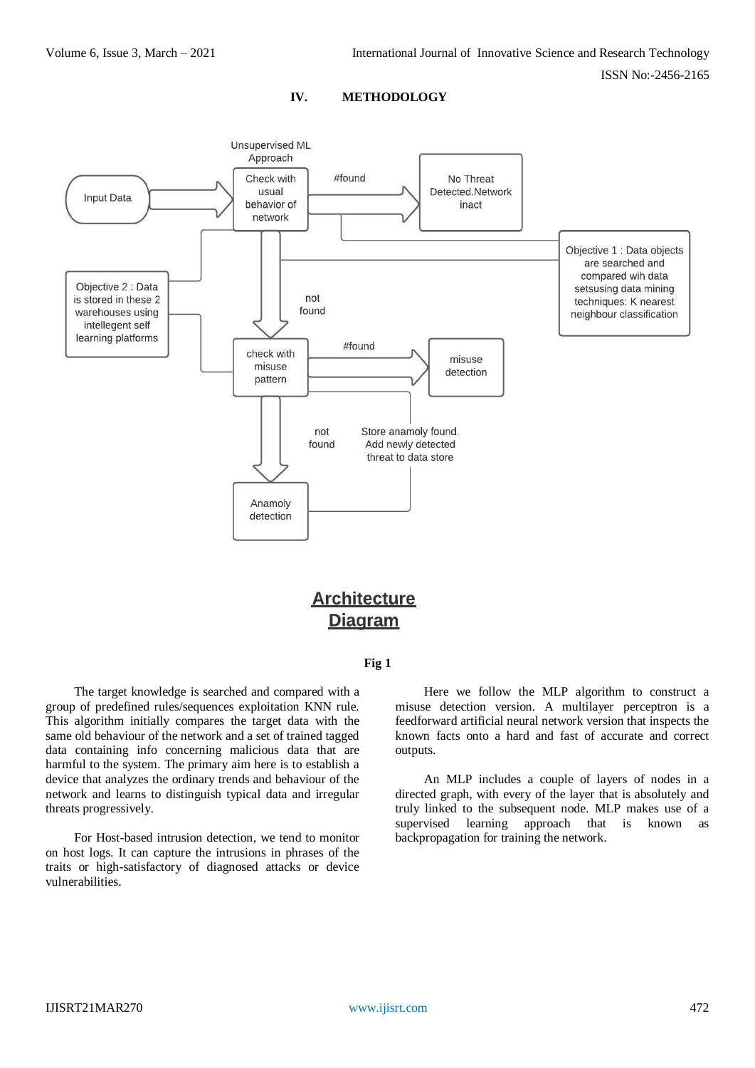ISSN No:-2456-2165





# **Architecture Diagram**

#### **Fig 1**

The target knowledge is searched and compared with a group of predefined rules/sequences exploitation KNN rule. This algorithm initially compares the target data with the same old behaviour of the network and a set of trained tagged data containing info concerning malicious data that are harmful to the system. The primary aim here is to establish a device that analyzes the ordinary trends and behaviour of the network and learns to distinguish typical data and irregular threats progressively.

For Host-based intrusion detection, we tend to monitor on host logs. It can capture the intrusions in phrases of the traits or high-satisfactory of diagnosed attacks or device vulnerabilities.

Here we follow the MLP algorithm to construct a misuse detection version. A multilayer perceptron is a feedforward artificial neural network version that inspects the known facts onto a hard and fast of accurate and correct outputs.

An MLP includes a couple of layers of nodes in a directed graph, with every of the layer that is absolutely and truly linked to the subsequent node. MLP makes use of a supervised learning approach that is known as backpropagation for training the network.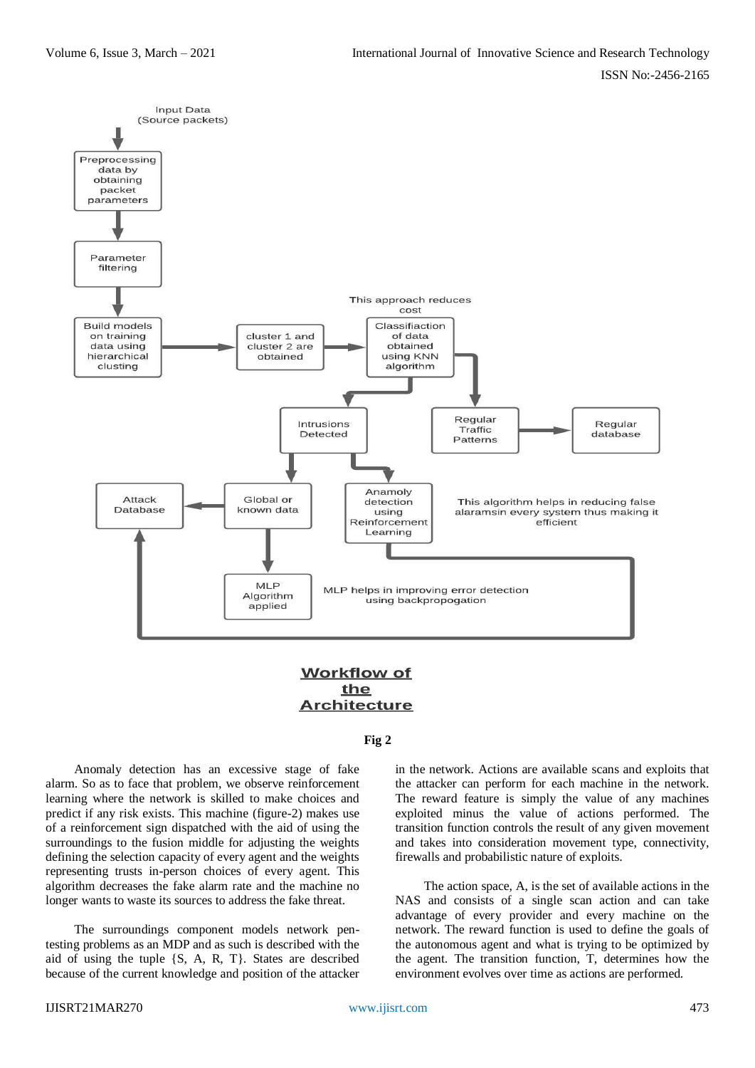

# **Workflow of** the **Architecture**

# **Fig 2**

Anomaly detection has an excessive stage of fake alarm. So as to face that problem, we observe reinforcement learning where the network is skilled to make choices and predict if any risk exists. This machine (figure-2) makes use of a reinforcement sign dispatched with the aid of using the surroundings to the fusion middle for adjusting the weights defining the selection capacity of every agent and the weights representing trusts in-person choices of every agent. This algorithm decreases the fake alarm rate and the machine no longer wants to waste its sources to address the fake threat.

The surroundings component models network pentesting problems as an MDP and as such is described with the aid of using the tuple {S, A, R, T}. States are described because of the current knowledge and position of the attacker in the network. Actions are available scans and exploits that the attacker can perform for each machine in the network. The reward feature is simply the value of any machines exploited minus the value of actions performed. The transition function controls the result of any given movement and takes into consideration movement type, connectivity, firewalls and probabilistic nature of exploits.

The action space, A, is the set of available actions in the NAS and consists of a single scan action and can take advantage of every provider and every machine on the network. The reward function is used to define the goals of the autonomous agent and what is trying to be optimized by the agent. The transition function, T, determines how the environment evolves over time as actions are performed.